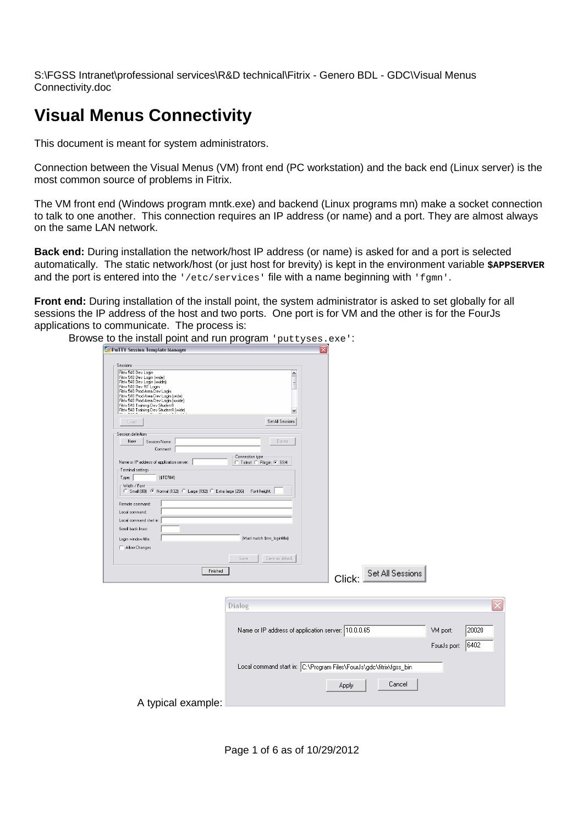# **Visual Menus Connectivity**

This document is meant for system administrators.

Connection between the Visual Menus (VM) front end (PC workstation) and the back end (Linux server) is the most common source of problems in Fitrix.

The VM front end (Windows program mntk.exe) and backend (Linux programs mn) make a socket connection to talk to one another. This connection requires an IP address (or name) and a port. They are almost always on the same LAN network.

**Back end:** During installation the network/host IP address (or name) is asked for and a port is selected automatically. The static network/host (or just host for brevity) is kept in the environment variable **\$APPSERVER** and the port is entered into the  $\frac{1}{e^{t}}$  /etc/services' file with a name beginning with 'fgmn'.

**Front end:** During installation of the install point, the system administrator is asked to set globally for all sessions the IP address of the host and two ports. One port is for VM and the other is for the FourJs applications to communicate. The process is:

| Browse to the install point and run program 'puttyses.exe':                                                                                                                                                                                                                                                                    |                                                                      |                         |                                           |
|--------------------------------------------------------------------------------------------------------------------------------------------------------------------------------------------------------------------------------------------------------------------------------------------------------------------------------|----------------------------------------------------------------------|-------------------------|-------------------------------------------|
| <b>F. PuTTY Session Template Manager</b>                                                                                                                                                                                                                                                                                       |                                                                      |                         |                                           |
| Sessions<br>Fitrix 540 Dev Login<br>Fitrix 540 Dev Login (wide)<br>Fitrix 540 Dev Login (xwide)<br>Fitrix 540 Dev RT Login<br>Fitrix 540 Prod Area Dev Login<br>Fitrix 540 Prod Area Dev Login (wide)<br>Fitrix 540 Prod Area Dev Login (xwide)<br>Fitrix 540 Training Dev Student1<br>Fitrix 540 Training Dev Student1 (wide) | $\blacktriangle$<br>$\checkmark$                                     |                         |                                           |
| Load                                                                                                                                                                                                                                                                                                                           | Set All Sessions                                                     |                         |                                           |
| Session definition<br>New<br>Session Name:<br>Comment:<br>Name or IP address of application server:<br>- Terminal settings<br>(\$TERM)<br>Type:<br>-Width / Font<br>C Small (80) C Normal (132) C Large (192) C Extra large (256)<br>Remote command:                                                                           | Delete<br>Connection type<br>C Telnet C Riogin G SSH<br>Font height: |                         |                                           |
| Local command:                                                                                                                                                                                                                                                                                                                 |                                                                      |                         |                                           |
| Local command start in:<br>Scroll back lines:<br>Login window title:<br>Allow Changes                                                                                                                                                                                                                                          | (Must match \$mn_logintitle)                                         |                         |                                           |
|                                                                                                                                                                                                                                                                                                                                | Save<br>Save as default                                              |                         |                                           |
| Finished                                                                                                                                                                                                                                                                                                                       |                                                                      | Click: Set All Sessions |                                           |
|                                                                                                                                                                                                                                                                                                                                | Dialog                                                               |                         |                                           |
|                                                                                                                                                                                                                                                                                                                                | Name or IP address of application server: 10.0.0.65                  |                         | 20020<br>VM port:<br>6402<br>FourJs port: |
|                                                                                                                                                                                                                                                                                                                                | Local command start in: C:\Program Files\FourJs\gdc\fitrix\fgss_bin  |                         |                                           |
|                                                                                                                                                                                                                                                                                                                                |                                                                      | Cancel<br>Apply         |                                           |
| A typical example:                                                                                                                                                                                                                                                                                                             |                                                                      |                         |                                           |

Page 1 of 6 as of 10/29/2012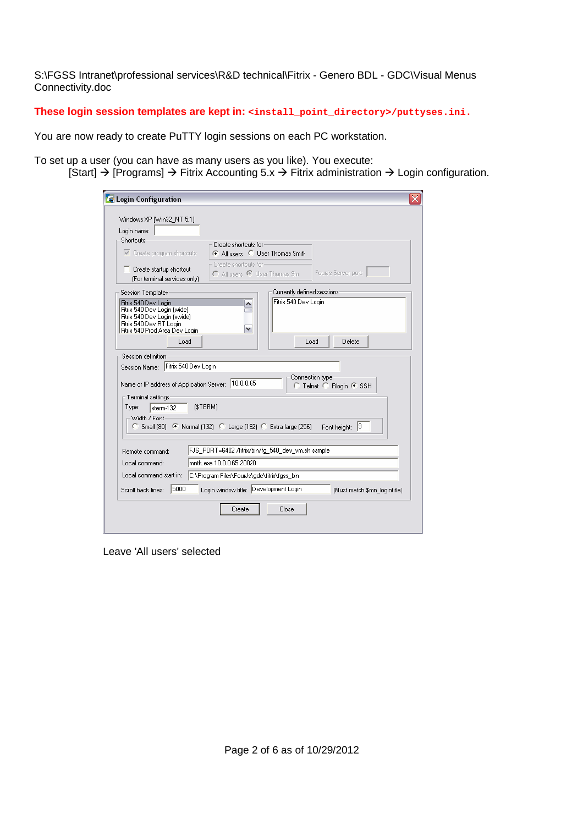**These login session templates are kept in: <install\_point\_directory>/puttyses.ini.** 

You are now ready to create PuTTY login sessions on each PC workstation.

To set up a user (you can have as many users as you like). You execute: [Start]  $\rightarrow$  [Programs]  $\rightarrow$  Fitrix Accounting 5.x  $\rightarrow$  Fitrix administration  $\rightarrow$  Login configuration.

| <b>E</b> Login Configuration<br>x                                                                                                                                                                            |  |  |  |  |  |  |
|--------------------------------------------------------------------------------------------------------------------------------------------------------------------------------------------------------------|--|--|--|--|--|--|
| Windows XP [Win32_NT 5.1]                                                                                                                                                                                    |  |  |  |  |  |  |
| Login name:<br>Shortcuts                                                                                                                                                                                     |  |  |  |  |  |  |
| Create shortcuts for                                                                                                                                                                                         |  |  |  |  |  |  |
| $\overline{\nabla}$ Create program shortcuts<br>C All users C User Thomas Smith                                                                                                                              |  |  |  |  |  |  |
| Create shortcuts for-<br>$\Box$ Create startup shortcut<br>FourJs Server port:<br>C All users C User Thomas Sm.<br>(For terminal services only)                                                              |  |  |  |  |  |  |
| Currently defined sessions<br>Session Templates:                                                                                                                                                             |  |  |  |  |  |  |
| Fitrix 540 Dev Login<br>Fitrix 540 Dev Login<br>۸<br>Fitrix 540 Dev Login [wide]<br>Fitrix 540 Dev Login (xwide)<br>Fitrix 540 Dev RT Login<br>٧<br>Fitrix 540 Prod Area Dev Login<br>Delete<br>Load<br>Load |  |  |  |  |  |  |
|                                                                                                                                                                                                              |  |  |  |  |  |  |
| Session definition                                                                                                                                                                                           |  |  |  |  |  |  |
| Session Name: Fitrix 540 Dev Login                                                                                                                                                                           |  |  |  |  |  |  |
| Connection type:<br>Name or IP address of Application Server: 10.0.0.65<br>C Telnet C Rlogin ⊙ SSH                                                                                                           |  |  |  |  |  |  |
| Terminal settings<br>(\$TERM)<br>Type:<br>sterm-132<br>Width / Font-<br>C Small (80) • Normal (132) • C Large (192) • Extra large (256)<br>19<br>Font height:                                                |  |  |  |  |  |  |
| FJS PORT=6402 /fitrix/bin/fg_540_dev_vm.sh sample<br>Remote command:                                                                                                                                         |  |  |  |  |  |  |
| mntk.exe 10.0.0.65 20020<br>Local command:                                                                                                                                                                   |  |  |  |  |  |  |
|                                                                                                                                                                                                              |  |  |  |  |  |  |
| Local command start in:<br>C:\Program Files\FourJs\gdc\fitrix\fgss_bin                                                                                                                                       |  |  |  |  |  |  |
| Login window title: Development Login<br>5000<br>Scroll back lines:<br>[Must match \$mn_logintitle]                                                                                                          |  |  |  |  |  |  |
| Create<br>Close                                                                                                                                                                                              |  |  |  |  |  |  |

Leave 'All users' selected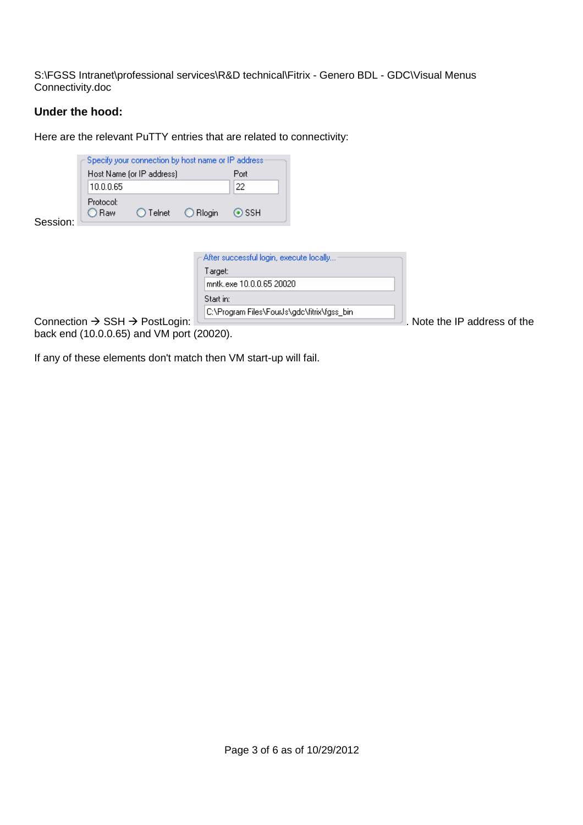## **Under the hood:**

Here are the relevant PuTTY entries that are related to connectivity:

| Session:                                              | 10.0.0.65<br>Protocol:<br>○ Raw | Specify your connection by host name or IP address:<br>Host Name (or IP address)<br>Telnet | O Rlogin  | Port<br>22<br>$\odot$ SSH |                                              |                              |
|-------------------------------------------------------|---------------------------------|--------------------------------------------------------------------------------------------|-----------|---------------------------|----------------------------------------------|------------------------------|
|                                                       |                                 |                                                                                            |           |                           |                                              |                              |
|                                                       |                                 |                                                                                            |           |                           |                                              |                              |
|                                                       |                                 |                                                                                            |           |                           | After successful login, execute locally      |                              |
|                                                       |                                 |                                                                                            | Target:   |                           |                                              |                              |
|                                                       |                                 |                                                                                            |           | mntk.exe 10.0.0.65 20020  |                                              |                              |
|                                                       |                                 |                                                                                            | Start in: |                           |                                              |                              |
|                                                       |                                 |                                                                                            |           |                           | C:\Program Files\FourJs\gdc\fitrix\fgss_bin_ |                              |
| Connection $\rightarrow$ SSH $\rightarrow$ PostLogin: |                                 |                                                                                            |           |                           |                                              | . Note the IP address of the |

back end (10.0.0.65) and VM port (20020).

If any of these elements don't match then VM start-up will fail.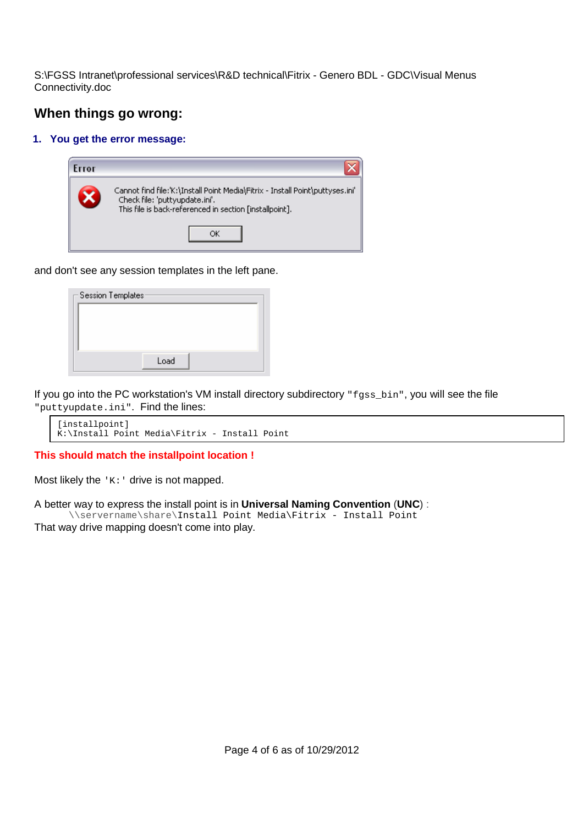# **When things go wrong:**

#### **1. You get the error message:**



and don't see any session templates in the left pane.

| Session Templates: |      |  |  |
|--------------------|------|--|--|
|                    |      |  |  |
|                    |      |  |  |
|                    |      |  |  |
|                    | Load |  |  |

If you go into the PC workstation's VM install directory subdirectory "fgss\_bin", you will see the file "puttyupdate.ini". Find the lines:

```
[installpoint] 
K:\Install Point Media\Fitrix - Install Point
```
**This should match the installpoint location !** 

Most likely the  $K:Y$  drive is not mapped.

A better way to express the install point is in **Universal Naming Convention** (**UNC**) : \\servername\share\Install Point Media\Fitrix - Install Point That way drive mapping doesn't come into play.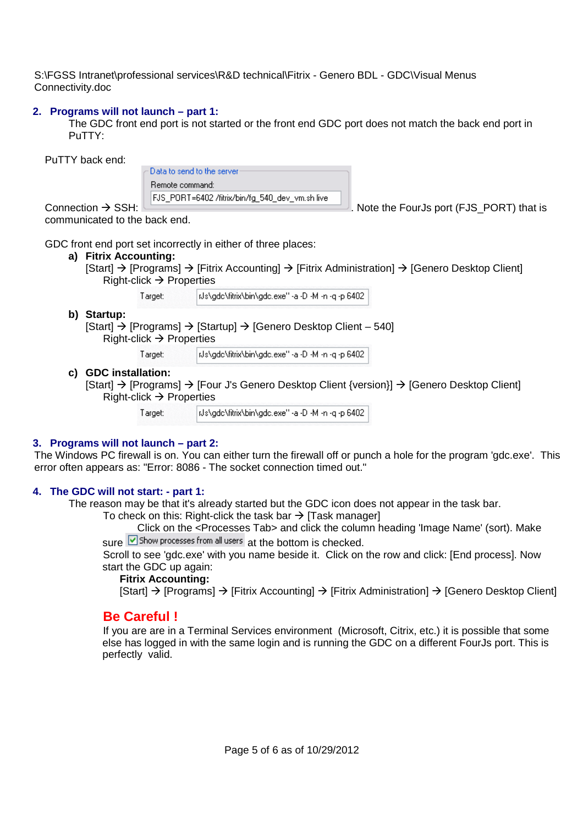#### **2. Programs will not launch – part 1:**

The GDC front end port is not started or the front end GDC port does not match the back end port in PuTTY:

PuTTY back end:

Data to send to the server Remote command:

Connection  $\rightarrow$  SSH: FUS\_PORT=6402 /fitrix/bin/fg\_540\_dev\_vm.sh live || Note the FourJs port (FJS\_PORT) that is

communicated to the back end.

GDC front end port set incorrectly in either of three places:

#### **a) Fitrix Accounting:**

 $[Start] \rightarrow [Programs] \rightarrow [Fitrix According] \rightarrow [Fitrix Administration] \rightarrow [Generator Desktop Client]$ Right-click  $\rightarrow$  Properties

> INs\gdc\fitrix\bin\gdc.exe" -a -D -M -n -g -p 6402 Target:

 **b) Startup:** 

 $[Start] \rightarrow [Programs] \rightarrow [Startup] \rightarrow [Generator Desktop Client - 540]$ 

Right-click  $\rightarrow$  Properties

Target: ids\gdc\fitrix\bin\gdc.exe" -a -D -M -n -q -p 6402.

**c) GDC installation:** 

 $[Start] \rightarrow [Programs] \rightarrow [Four J's Genome Desktop Client \{version\}] \rightarrow [Generator]$ Right-click  $\rightarrow$  Properties

> iUs\gdc\fitrix\bin\gdc.exe" -a -D -M -n -q -p 6402 Target:

#### **3. Programs will not launch – part 2:**

The Windows PC firewall is on. You can either turn the firewall off or punch a hole for the program 'gdc.exe'. This error often appears as: "Error: 8086 - The socket connection timed out."

#### **4. The GDC will not start: - part 1:**

The reason may be that it's already started but the GDC icon does not appear in the task bar.

To check on this: Right-click the task bar  $\rightarrow$  [Task manager]

Click on the <Processes Tab> and click the column heading 'Image Name' (sort). Make

sure Show processes from all users at the bottom is checked.

 Scroll to see 'gdc.exe' with you name beside it. Click on the row and click: [End process]. Now start the GDC up again:

#### **Fitrix Accounting:**

 $[Start] \rightarrow [Programs] \rightarrow [Fitrix According] \rightarrow [Fitrix Administration] \rightarrow [Generator Desktop Client]$ 

# **Be Careful !**

If you are are in a Terminal Services environment (Microsoft, Citrix, etc.) it is possible that some else has logged in with the same login and is running the GDC on a different FourJs port. This is perfectly valid.